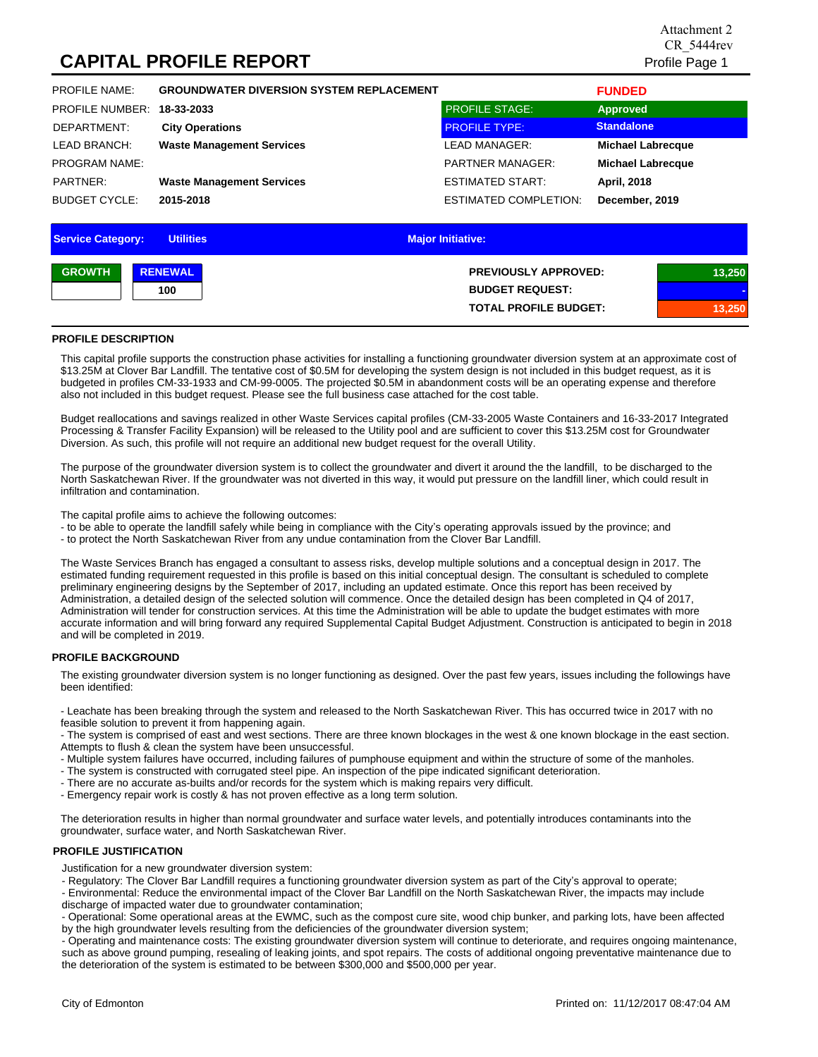# **CAPITAL PROFILE REPORT**

CR\_5444rev Profile Page 1 Attachment 2

| <b>PROFILE NAME:</b>   | <b>GROUNDWATER DIVERSION SYSTEM REPLACEMENT</b> | <b>FUNDED</b>                |                          |
|------------------------|-------------------------------------------------|------------------------------|--------------------------|
| <b>PROFILE NUMBER:</b> | 18-33-2033                                      | <b>PROFILE STAGE:</b>        | <b>Approved</b>          |
| DEPARTMENT:            | <b>City Operations</b>                          | <b>PROFILE TYPE:</b>         | <b>Standalone</b>        |
| LEAD BRANCH:           | <b>Waste Management Services</b>                | LEAD MANAGER:                | <b>Michael Labrecque</b> |
| <b>PROGRAM NAME:</b>   |                                                 | <b>PARTNER MANAGER:</b>      | <b>Michael Labrecque</b> |
| PARTNER:               | <b>Waste Management Services</b>                | ESTIMATED START:             | <b>April, 2018</b>       |
| <b>BUDGET CYCLE:</b>   | 2015-2018                                       | <b>ESTIMATED COMPLETION:</b> | December, 2019           |

| <b>Service Category:</b><br><b>Utilities</b> |                | <b>Major Initiative:</b>     |        |
|----------------------------------------------|----------------|------------------------------|--------|
| <b>GROWTH</b>                                | <b>RENEWAL</b> | <b>PREVIOUSLY APPROVED:</b>  | 13,250 |
|                                              | 100            | <b>BUDGET REQUEST:</b>       |        |
|                                              |                | <b>TOTAL PROFILE BUDGET:</b> | 13,250 |

#### **PROFILE DESCRIPTION**

This capital profile supports the construction phase activities for installing a functioning groundwater diversion system at an approximate cost of \$13.25M at Clover Bar Landfill. The tentative cost of \$0.5M for developing the system design is not included in this budget request, as it is budgeted in profiles CM-33-1933 and CM-99-0005. The projected \$0.5M in abandonment costs will be an operating expense and therefore also not included in this budget request. Please see the full business case attached for the cost table.

Budget reallocations and savings realized in other Waste Services capital profiles (CM-33-2005 Waste Containers and 16-33-2017 Integrated Processing & Transfer Facility Expansion) will be released to the Utility pool and are sufficient to cover this \$13.25M cost for Groundwater Diversion. As such, this profile will not require an additional new budget request for the overall Utility.

The purpose of the groundwater diversion system is to collect the groundwater and divert it around the the landfill, to be discharged to the North Saskatchewan River. If the groundwater was not diverted in this way, it would put pressure on the landfill liner, which could result in infiltration and contamination.

The capital profile aims to achieve the following outcomes:

- to be able to operate the landfill safely while being in compliance with the City's operating approvals issued by the province; and

- to protect the North Saskatchewan River from any undue contamination from the Clover Bar Landfill.

The Waste Services Branch has engaged a consultant to assess risks, develop multiple solutions and a conceptual design in 2017. The estimated funding requirement requested in this profile is based on this initial conceptual design. The consultant is scheduled to complete preliminary engineering designs by the September of 2017, including an updated estimate. Once this report has been received by Administration, a detailed design of the selected solution will commence. Once the detailed design has been completed in Q4 of 2017, Administration will tender for construction services. At this time the Administration will be able to update the budget estimates with more accurate information and will bring forward any required Supplemental Capital Budget Adjustment. Construction is anticipated to begin in 2018 and will be completed in 2019.

#### **PROFILE BACKGROUND**

The existing groundwater diversion system is no longer functioning as designed. Over the past few years, issues including the followings have been identified:

- Leachate has been breaking through the system and released to the North Saskatchewan River. This has occurred twice in 2017 with no feasible solution to prevent it from happening again.

- The system is comprised of east and west sections. There are three known blockages in the west & one known blockage in the east section. Attempts to flush & clean the system have been unsuccessful.

- Multiple system failures have occurred, including failures of pumphouse equipment and within the structure of some of the manholes.

- The system is constructed with corrugated steel pipe. An inspection of the pipe indicated significant deterioration.

- There are no accurate as-builts and/or records for the system which is making repairs very difficult.

- Emergency repair work is costly & has not proven effective as a long term solution.

The deterioration results in higher than normal groundwater and surface water levels, and potentially introduces contaminants into the groundwater, surface water, and North Saskatchewan River.

#### **PROFILE JUSTIFICATION**

Justification for a new groundwater diversion system:

- Regulatory: The Clover Bar Landfill requires a functioning groundwater diversion system as part of the City's approval to operate;

- Environmental: Reduce the environmental impact of the Clover Bar Landfill on the North Saskatchewan River, the impacts may include discharge of impacted water due to groundwater contamination;

- Operational: Some operational areas at the EWMC, such as the compost cure site, wood chip bunker, and parking lots, have been affected by the high groundwater levels resulting from the deficiencies of the groundwater diversion system;

- Operating and maintenance costs: The existing groundwater diversion system will continue to deteriorate, and requires ongoing maintenance, such as above ground pumping, resealing of leaking joints, and spot repairs. The costs of additional ongoing preventative maintenance due to the deterioration of the system is estimated to be between \$300,000 and \$500,000 per year.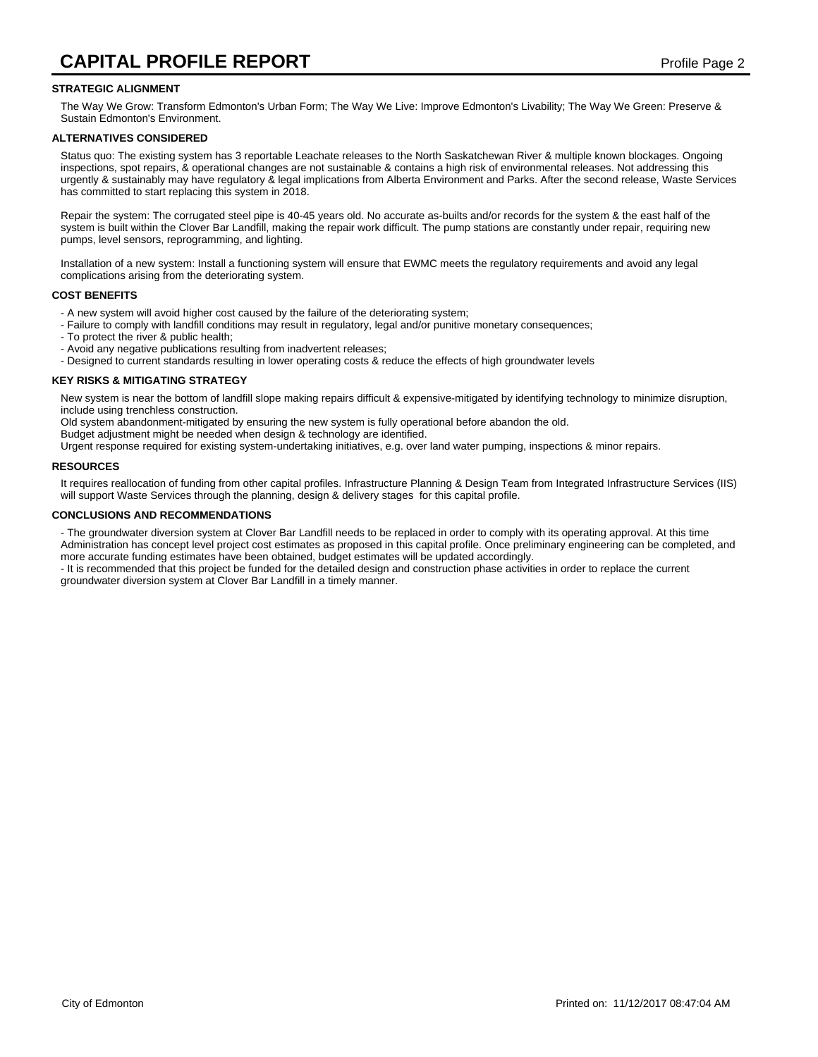#### **STRATEGIC ALIGNMENT**

The Way We Grow: Transform Edmonton's Urban Form; The Way We Live: Improve Edmonton's Livability; The Way We Green: Preserve & Sustain Edmonton's Environment.

#### **ALTERNATIVES CONSIDERED**

Status quo: The existing system has 3 reportable Leachate releases to the North Saskatchewan River & multiple known blockages. Ongoing inspections, spot repairs, & operational changes are not sustainable & contains a high risk of environmental releases. Not addressing this urgently & sustainably may have regulatory & legal implications from Alberta Environment and Parks. After the second release, Waste Services has committed to start replacing this system in 2018.

Repair the system: The corrugated steel pipe is 40-45 years old. No accurate as-builts and/or records for the system & the east half of the system is built within the Clover Bar Landfill, making the repair work difficult. The pump stations are constantly under repair, requiring new pumps, level sensors, reprogramming, and lighting.

Installation of a new system: Install a functioning system will ensure that EWMC meets the regulatory requirements and avoid any legal complications arising from the deteriorating system.

#### **COST BENEFITS**

- A new system will avoid higher cost caused by the failure of the deteriorating system;
- Failure to comply with landfill conditions may result in regulatory, legal and/or punitive monetary consequences;
- To protect the river & public health;
- Avoid any negative publications resulting from inadvertent releases;
- Designed to current standards resulting in lower operating costs & reduce the effects of high groundwater levels

#### **KEY RISKS & MITIGATING STRATEGY**

New system is near the bottom of landfill slope making repairs difficult & expensive-mitigated by identifying technology to minimize disruption, include using trenchless construction.

Old system abandonment-mitigated by ensuring the new system is fully operational before abandon the old.

Budget adjustment might be needed when design & technology are identified.

Urgent response required for existing system-undertaking initiatives, e.g. over land water pumping, inspections & minor repairs.

#### **RESOURCES**

It requires reallocation of funding from other capital profiles. Infrastructure Planning & Design Team from Integrated Infrastructure Services (IIS) will support Waste Services through the planning, design & delivery stages for this capital profile.

#### **CONCLUSIONS AND RECOMMENDATIONS**

- The groundwater diversion system at Clover Bar Landfill needs to be replaced in order to comply with its operating approval. At this time Administration has concept level project cost estimates as proposed in this capital profile. Once preliminary engineering can be completed, and more accurate funding estimates have been obtained, budget estimates will be updated accordingly.

- It is recommended that this project be funded for the detailed design and construction phase activities in order to replace the current groundwater diversion system at Clover Bar Landfill in a timely manner.